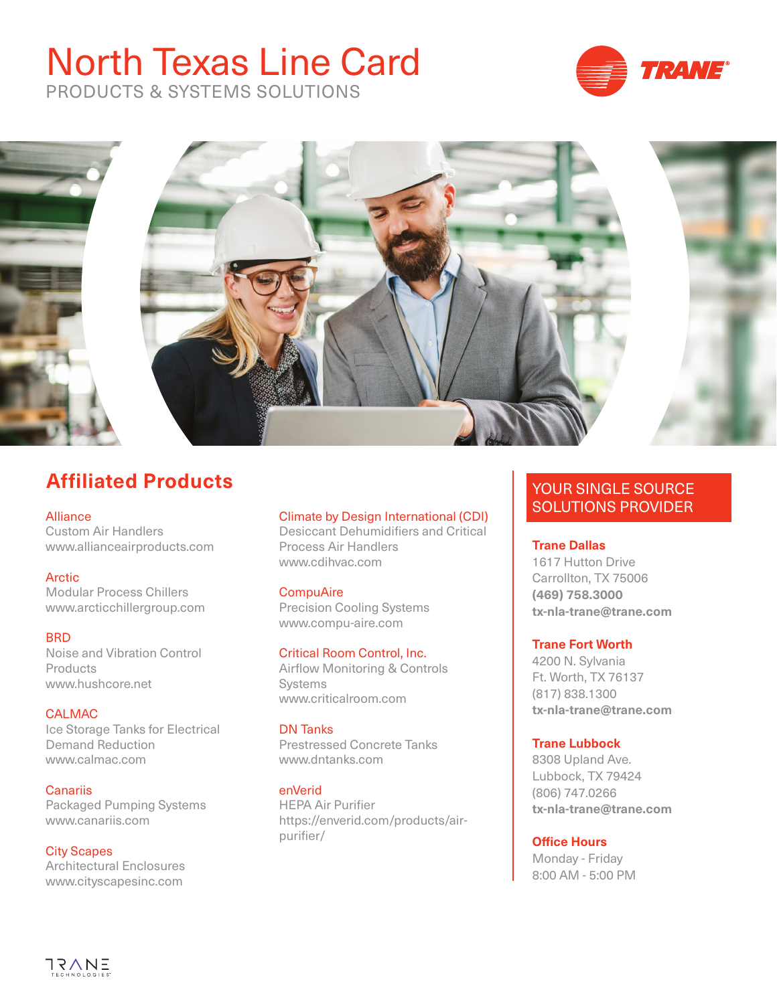# North Texas Line Card



PRODUCTS & SYSTEMS SOLUTIONS



# **Affiliated Products**

### [Alliance](http://www.allianceairproducts.com
)

Custom Air Handlers www.allianceairproducts.com

### **[Arctic](http://www.arcticchillergroup.com
)**

Modular Process Chillers www.arcticchillergroup.com

### **[BRD](http://www.hushcore.net
)**

Noise and Vibration Control Products www.hushcore.net

[CALMAC](http://www.calmac.com
) Ice Storage Tanks for Electrical Demand Reduction www.calmac.com

**[Canariis](http://www.canariis.com
)** Packaged Pumping Systems www.canariis.com

### City Scapes

Architectural Enclosures www.cityscapesinc.com

# Climate by Design International (CDI)

Desiccant Dehumidifiers and Critical Process Air Handlers www.cdihvac.com

### **[CompuAire](http://www.compu-aire.com
)**

Precision Cooling Systems www.compu-aire.com

### [Critical Room Control, Inc.](http://www.criticalroom.com
)

Airflow Monitoring & Controls Systems www.criticalroom.com

### [DN Tanks](http://www.dntanks.com
)

Prestressed Concrete Tanks www.dntanks.com

#### [enVerid](https://enverid.com/products/air-purifier
)

HEPA Air Purifier [https://enverid.com/products/air](https://enverid.com/products/air-purifier/)[purifier/](https://enverid.com/products/air-purifier/)

# YOUR SINGLE SOURCE SOLUTIONS PROVIDER

### **[Trane Dallas](http://www.trane.com/dallas)**

1617 Hutton Drive Carrollton, TX 75006 **(469) 758.3000 tx-nla-trane@trane.com**

### **[Trane Fort Worth](http://www.trane.com/fortworth)**

4200 N. Sylvania Ft. Worth, TX 76137 (817) 838.1300 **tx-nla-trane@trane.com**

### **[Trane Lubbock](http://www.trane.com/lubbock)**

8308 Upland Ave. Lubbock, TX 79424 (806) 747.0266 **tx-nla-trane@trane.com**

### **Office Hours**

Monday - Friday 8:00 AM - 5:00 PM